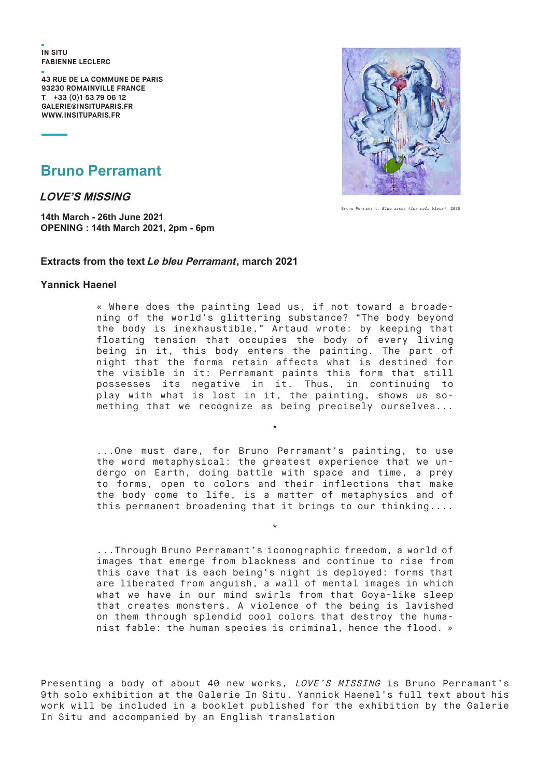**IN SITU FABIENNE LECLERC** 

**43 RUE dE LA CommUNE dE pARIS 93230 RomAINvILLE FRANCE T +33 (0)1 53 79 06 12 GALERIE@INSITUpARIS.FR WWW.INSITUpARIS.FR**



Bruno Perramant, Blue asses (les culs bleus), 2020

#### **Bruno Perramant**

**LOVE'S MISSING**

**14th March - 26th June 2021 OPENING : 14th March 2021, 2pm - 6pm**

#### **Extracts from the text Le bleu Perramant, march 2021**

#### **Yannick Haenel**

« Where does the painting lead us, if not toward a broadening of the world's glittering substance? "The body beyond the body is inexhaustible," Artaud wrote: by keeping that floating tension that occupies the body of every living being in it, this body enters the painting. The part of night that the forms retain affects what is destined for the visible in it: Perramant paints this form that still possesses its negative in it. Thus, in continuing to play with what is lost in it, the painting, shows us something that we recognize as being precisely ourselves...

...One must dare, for Bruno Perramant's painting, to use the word metaphysical: the greatest experience that we undergo on Earth, doing battle with space and time, a prey to forms, open to colors and their inflections that make the body come to life, is a matter of metaphysics and of this permanent broadening that it brings to our thinking....

\*

\*

...Through Bruno Perramant's iconographic freedom, a world of images that emerge from blackness and continue to rise from this cave that is each being's night is deployed: forms that are liberated from anguish, a wall of mental images in which what we have in our mind swirls from that Goya-like sleep that creates monsters. A violence of the being is lavished on them through splendid cool colors that destroy the humanist fable: the human species is criminal, hence the flood. »

Presenting a body of about 40 new works, LOVE'S MISSING is Bruno Perramant's 9th solo exhibition at the Galerie In Situ. Yannick Haenel's full text about his work will be included in a booklet published for the exhibition by the Galerie In Situ and accompanied by an English translation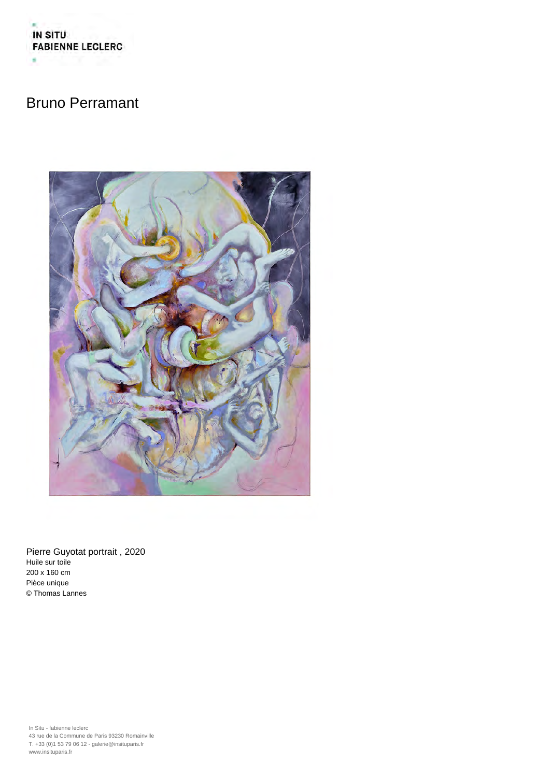



Pierre Guyotat portrait , 2020 Huile sur toile 200 x 160 cm Pièce unique © Thomas Lannes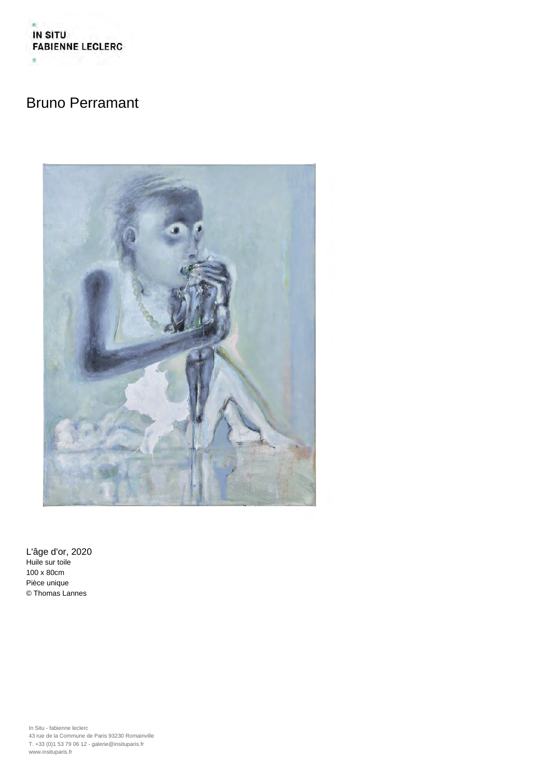

L'âge d'or, 2020 Huile sur toile 100 x 80cm Pièce unique © Thomas Lannes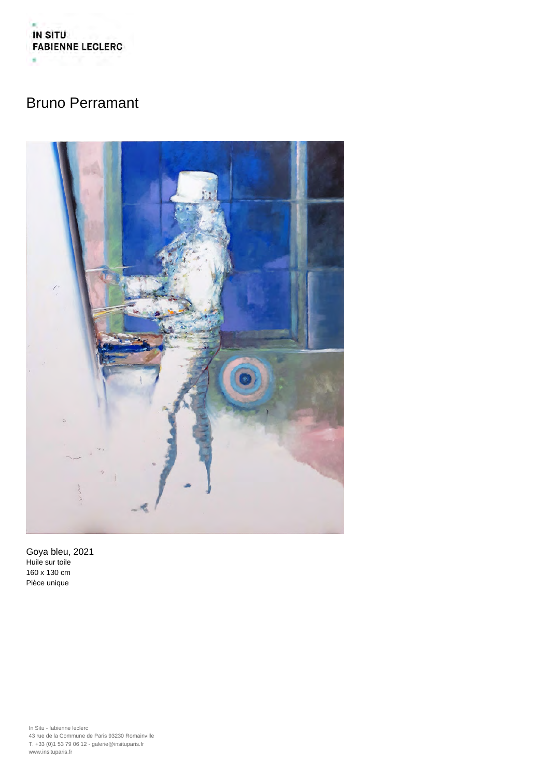



Goya bleu, 2021 Huile sur toile 160 x 130 cm Pièce unique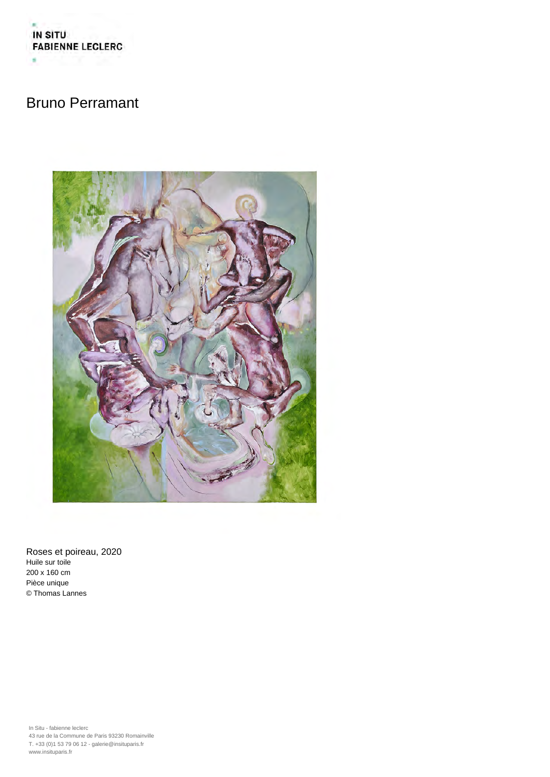



Roses et poireau, 2020 Huile sur toile 200 x 160 cm Pièce unique © Thomas Lannes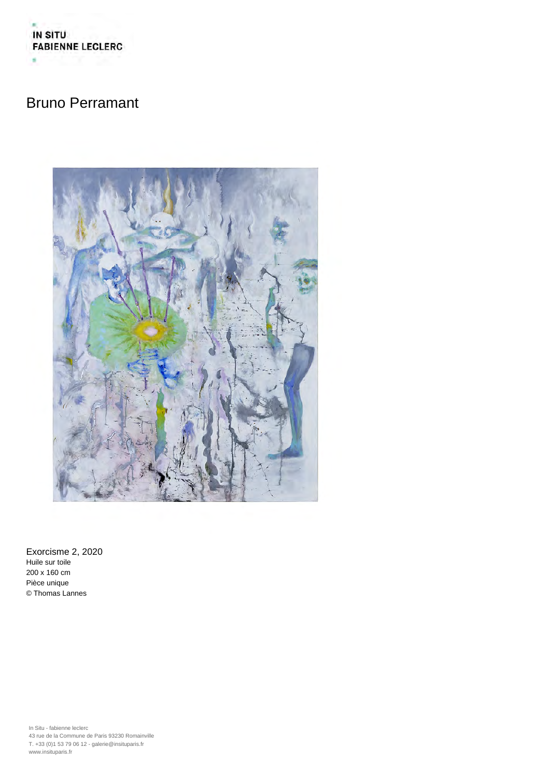



Exorcisme 2, 2020 Huile sur toile 200 x 160 cm Pièce unique © Thomas Lannes